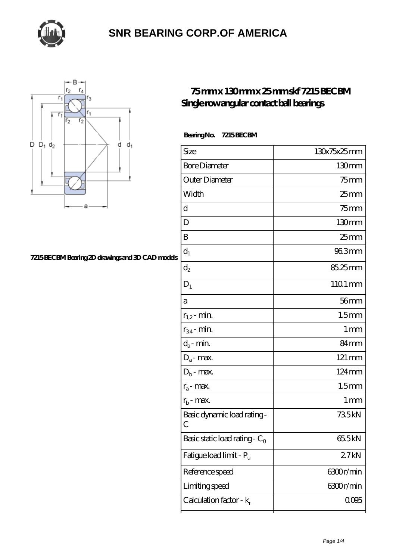



#### **[7215 BECBM Bearing 2D drawings and 3D CAD models](https://thebestofquebec.com/pic-64978698.html)**

#### **[75 mm x 130 mm x 25 mm skf 7215 BECBM](https://thebestofquebec.com/au-64978698-skf-7215-becbm-single-row-angular-contact-ball-bearings.html) [Single row angular contact ball bearings](https://thebestofquebec.com/au-64978698-skf-7215-becbm-single-row-angular-contact-ball-bearings.html)**

 **Bearing No. 7215 BECBM**

| Size                                   | 130x75x25mm       |
|----------------------------------------|-------------------|
| <b>Bore Diameter</b>                   | 130mm             |
| Outer Diameter                         | $75$ mm           |
| Width                                  | $25 \text{mm}$    |
| d                                      | $75$ mm           |
| D                                      | 130mm             |
| B                                      | $25 \text{mm}$    |
| $d_1$                                  | 96.3mm            |
| $\mathrm{d}_2$                         | 85.25mm           |
| $D_1$                                  | 1101 mm           |
| a                                      | $56$ mm           |
| $r_{1,2}$ - min.                       | 1.5 <sub>mm</sub> |
| $r_{34}$ - min.                        | $1 \,\mathrm{mm}$ |
| $d_a$ - min.                           | 84mm              |
| $D_a$ - max.                           | $121 \text{ mm}$  |
| $D_b$ - max.                           | 124mm             |
| $r_a$ - max.                           | 1.5 <sub>mm</sub> |
| $r_{b}$ - max.                         | 1 mm              |
| Basic dynamic load rating-<br>С        | 735kN             |
| Basic static load rating - $C_{\rm O}$ | 655kN             |
| Fatigue load limit - Pu                | 27kN              |
| Reference speed                        | 6300r/min         |
| Limiting speed                         | 6300r/min         |
| Calculation factor - $k_r$             | 0.095             |
|                                        |                   |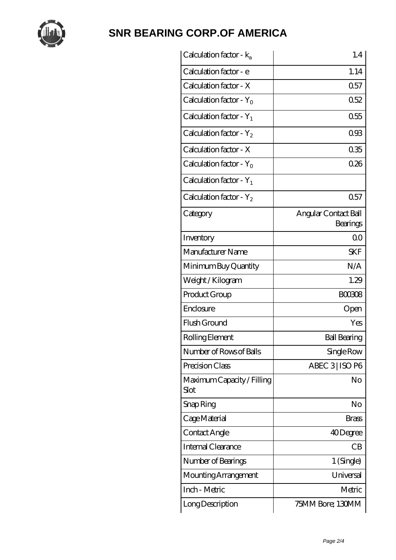

| Calculation factor - $k_a$          | 1.4                              |
|-------------------------------------|----------------------------------|
| Calculation factor - e              | 1.14                             |
| Calculation factor - X              | 0.57                             |
| Calculation factor - Y <sub>0</sub> | 0.52                             |
| Calculation factor - $Y_1$          | 0.55                             |
| Calculation factor - $Y_2$          | 093                              |
| Calculation factor - X              | 035                              |
| Calculation factor - $Y_0$          | 026                              |
| Calculation factor - $Y_1$          |                                  |
| Calculation factor - $Y_2$          | 0.57                             |
| Category                            | Angular Contact Ball<br>Bearings |
| Inventory                           | 0 <sub>0</sub>                   |
| Manufacturer Name                   | <b>SKF</b>                       |
| Minimum Buy Quantity                | N/A                              |
| Weight / Kilogram                   | 1.29                             |
| Product Group                       | <b>BOO3O8</b>                    |
| Enclosure                           | Open                             |
| Flush Ground                        | Yes                              |
| Rolling Element                     | <b>Ball Bearing</b>              |
| Number of Rows of Balls             | Single Row                       |
| Precision Class                     | ABEC 3   ISO P6                  |
| Maximum Capacity / Filling<br>Slot  | No                               |
| Snap Ring                           | No                               |
| Cage Material                       | Brass                            |
| Contact Angle                       | 40Degree                         |
| Internal Clearance                  | CB                               |
| Number of Bearings                  | 1 (Single)                       |
| Mounting Arrangement                | Universal                        |
| Inch - Metric                       | Metric                           |
| Long Description                    | 75MM Bore; 130MM                 |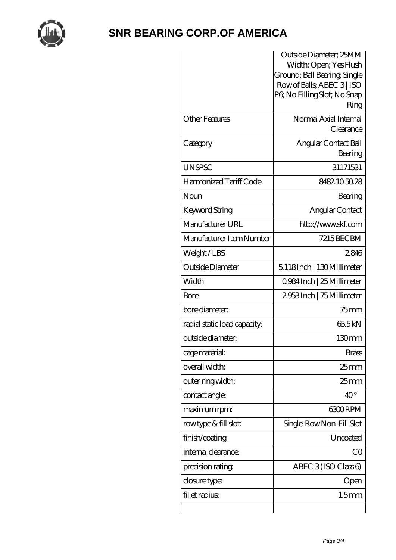

|                              | Outside Diameter; 25MM<br>Width; Open; Yes Flush<br>Ground; Ball Bearing, Single<br>Row of Balls, ABEC 3   ISO<br>PG No Filling Slot; No Snap<br>Ring |
|------------------------------|-------------------------------------------------------------------------------------------------------------------------------------------------------|
| <b>Other Features</b>        | Normal Axial Internal<br>Clearance                                                                                                                    |
| Category                     | Angular Contact Ball<br>Bearing                                                                                                                       |
| <b>UNSPSC</b>                | 31171531                                                                                                                                              |
| Harmonized Tariff Code       | 8482105028                                                                                                                                            |
| Noun                         | Bearing                                                                                                                                               |
| Keyword String               | Angular Contact                                                                                                                                       |
| Manufacturer URL             | http://www.skf.com                                                                                                                                    |
| Manufacturer Item Number     | 7215BECBM                                                                                                                                             |
| Weight/LBS                   | 2846                                                                                                                                                  |
| Outside Diameter             | 5.118Inch   130Millimeter                                                                                                                             |
| Width                        | 0.984 Inch   25 Millimeter                                                                                                                            |
| Bore                         | 2953Inch   75 Millimeter                                                                                                                              |
| bore diameter:               | $75$ mm                                                                                                                                               |
| radial static load capacity: | 655kN                                                                                                                                                 |
| outside diameter:            | 130mm                                                                                                                                                 |
| cage material:               | <b>Brass</b>                                                                                                                                          |
| overall width:               | 25 mm                                                                                                                                                 |
| outer ring width:            | $25 \text{mm}$                                                                                                                                        |
| contact angle:               | $40^{\circ}$                                                                                                                                          |
| maximum rpm:                 | <b>6300RPM</b>                                                                                                                                        |
| rowtype & fill slot:         | Single-RowNon-Fill Slot                                                                                                                               |
| finish/coating               | Uncoated                                                                                                                                              |
| internal clearance:          | CO                                                                                                                                                    |
| precision rating             | ABEC $3$ (ISO Class 6)                                                                                                                                |
| closure type:                | Open                                                                                                                                                  |
| fillet radius                | 1.5 <sub>mm</sub>                                                                                                                                     |
|                              |                                                                                                                                                       |